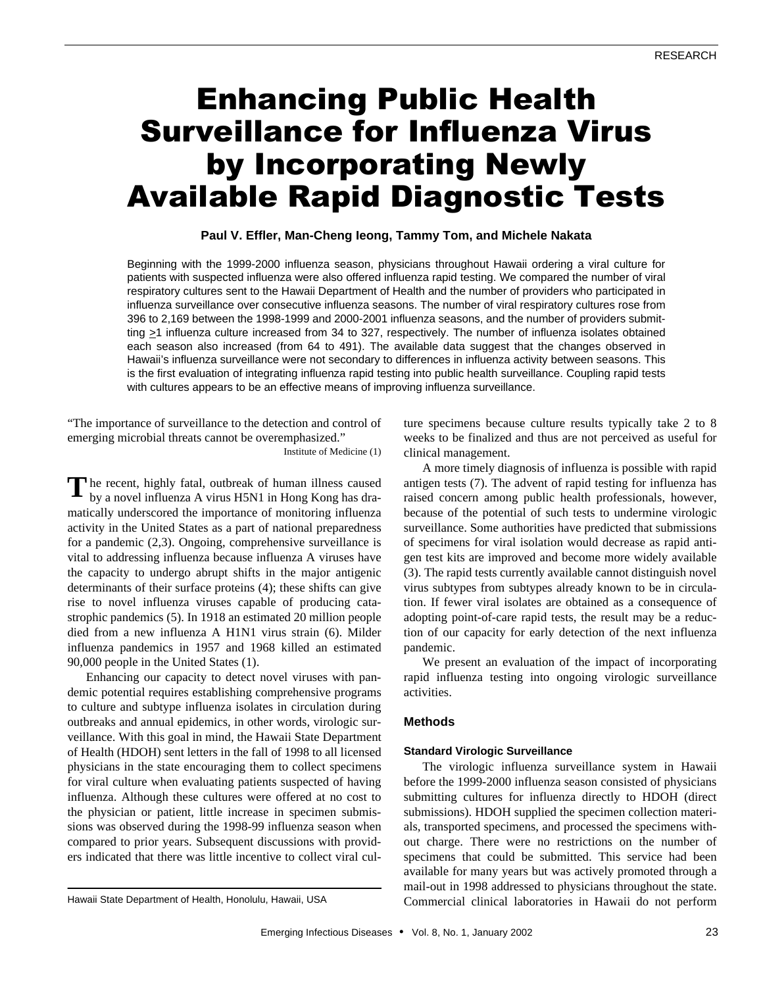# Enhancing Public Health Surveillance for Influenza Virus by Incorporating Newly Available Rapid Diagnostic Tests

# **Paul V. Effler, Man-Cheng Ieong, Tammy Tom, and Michele Nakata**

Beginning with the 1999-2000 influenza season, physicians throughout Hawaii ordering a viral culture for patients with suspected influenza were also offered influenza rapid testing. We compared the number of viral respiratory cultures sent to the Hawaii Department of Health and the number of providers who participated in influenza surveillance over consecutive influenza seasons. The number of viral respiratory cultures rose from 396 to 2,169 between the 1998-1999 and 2000-2001 influenza seasons, and the number of providers submitting >1 influenza culture increased from 34 to 327, respectively. The number of influenza isolates obtained each season also increased (from 64 to 491). The available data suggest that the changes observed in Hawaii's influenza surveillance were not secondary to differences in influenza activity between seasons. This is the first evaluation of integrating influenza rapid testing into public health surveillance. Coupling rapid tests with cultures appears to be an effective means of improving influenza surveillance.

"The importance of surveillance to the detection and control of emerging microbial threats cannot be overemphasized."

Institute of Medicine (1)

The recent, highly fatal, outbreak of human illness caused<br>by a novel influenza A virus H5N1 in Hong Kong has draby a novel influenza A virus H5N1 in Hong Kong has dramatically underscored the importance of monitoring influenza activity in the United States as a part of national preparedness for a pandemic (2,3). Ongoing, comprehensive surveillance is vital to addressing influenza because influenza A viruses have the capacity to undergo abrupt shifts in the major antigenic determinants of their surface proteins (4); these shifts can give rise to novel influenza viruses capable of producing catastrophic pandemics (5). In 1918 an estimated 20 million people died from a new influenza A H1N1 virus strain (6). Milder influenza pandemics in 1957 and 1968 killed an estimated 90,000 people in the United States (1).

Enhancing our capacity to detect novel viruses with pandemic potential requires establishing comprehensive programs to culture and subtype influenza isolates in circulation during outbreaks and annual epidemics, in other words, virologic surveillance. With this goal in mind, the Hawaii State Department of Health (HDOH) sent letters in the fall of 1998 to all licensed physicians in the state encouraging them to collect specimens for viral culture when evaluating patients suspected of having influenza. Although these cultures were offered at no cost to the physician or patient, little increase in specimen submissions was observed during the 1998-99 influenza season when compared to prior years. Subsequent discussions with providers indicated that there was little incentive to collect viral culture specimens because culture results typically take 2 to 8 weeks to be finalized and thus are not perceived as useful for clinical management.

A more timely diagnosis of influenza is possible with rapid antigen tests (7). The advent of rapid testing for influenza has raised concern among public health professionals, however, because of the potential of such tests to undermine virologic surveillance. Some authorities have predicted that submissions of specimens for viral isolation would decrease as rapid antigen test kits are improved and become more widely available (3). The rapid tests currently available cannot distinguish novel virus subtypes from subtypes already known to be in circulation. If fewer viral isolates are obtained as a consequence of adopting point-of-care rapid tests, the result may be a reduction of our capacity for early detection of the next influenza pandemic.

We present an evaluation of the impact of incorporating rapid influenza testing into ongoing virologic surveillance activities.

## **Methods**

### **Standard Virologic Surveillance**

The virologic influenza surveillance system in Hawaii before the 1999-2000 influenza season consisted of physicians submitting cultures for influenza directly to HDOH (direct submissions). HDOH supplied the specimen collection materials, transported specimens, and processed the specimens without charge. There were no restrictions on the number of specimens that could be submitted. This service had been available for many years but was actively promoted through a mail-out in 1998 addressed to physicians throughout the state. Hawaii State Department of Health, Honolulu, Hawaii, USA Commercial clinical laboratories in Hawaii do not perform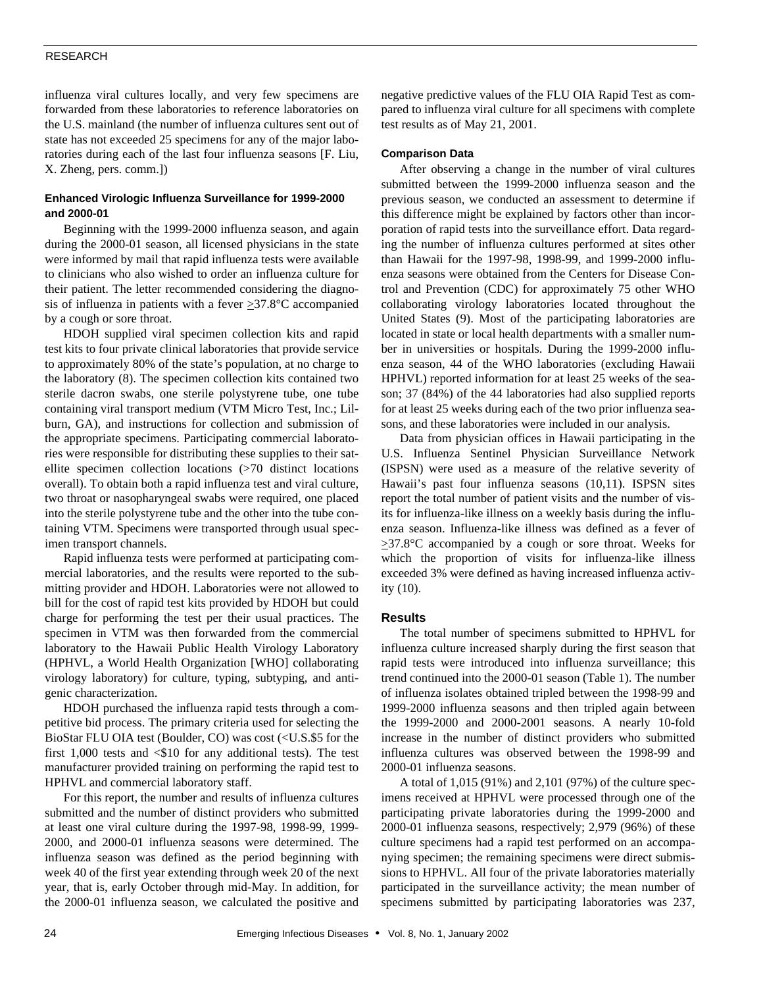## RESEARCH

influenza viral cultures locally, and very few specimens are forwarded from these laboratories to reference laboratories on the U.S. mainland (the number of influenza cultures sent out of state has not exceeded 25 specimens for any of the major laboratories during each of the last four influenza seasons [F. Liu, X. Zheng, pers. comm.])

## **Enhanced Virologic Influenza Surveillance for 1999-2000 and 2000-01**

Beginning with the 1999-2000 influenza season, and again during the 2000-01 season, all licensed physicians in the state were informed by mail that rapid influenza tests were available to clinicians who also wished to order an influenza culture for their patient. The letter recommended considering the diagnosis of influenza in patients with a fever  $\geq 37.8^{\circ}$ C accompanied by a cough or sore throat.

HDOH supplied viral specimen collection kits and rapid test kits to four private clinical laboratories that provide service to approximately 80% of the state's population, at no charge to the laboratory (8). The specimen collection kits contained two sterile dacron swabs, one sterile polystyrene tube, one tube containing viral transport medium (VTM Micro Test, Inc.; Lilburn, GA), and instructions for collection and submission of the appropriate specimens. Participating commercial laboratories were responsible for distributing these supplies to their satellite specimen collection locations (>70 distinct locations overall). To obtain both a rapid influenza test and viral culture, two throat or nasopharyngeal swabs were required, one placed into the sterile polystyrene tube and the other into the tube containing VTM. Specimens were transported through usual specimen transport channels.

Rapid influenza tests were performed at participating commercial laboratories, and the results were reported to the submitting provider and HDOH. Laboratories were not allowed to bill for the cost of rapid test kits provided by HDOH but could charge for performing the test per their usual practices. The specimen in VTM was then forwarded from the commercial laboratory to the Hawaii Public Health Virology Laboratory (HPHVL, a World Health Organization [WHO] collaborating virology laboratory) for culture, typing, subtyping, and antigenic characterization.

HDOH purchased the influenza rapid tests through a competitive bid process. The primary criteria used for selecting the BioStar FLU OIA test (Boulder, CO) was cost (<U.S.\$5 for the first 1,000 tests and  $\leq$ \$10 for any additional tests). The test manufacturer provided training on performing the rapid test to HPHVL and commercial laboratory staff.

For this report, the number and results of influenza cultures submitted and the number of distinct providers who submitted at least one viral culture during the 1997-98, 1998-99, 1999- 2000, and 2000-01 influenza seasons were determined. The influenza season was defined as the period beginning with week 40 of the first year extending through week 20 of the next year, that is, early October through mid-May. In addition, for the 2000-01 influenza season, we calculated the positive and

negative predictive values of the FLU OIA Rapid Test as compared to influenza viral culture for all specimens with complete test results as of May 21, 2001.

## **Comparison Data**

After observing a change in the number of viral cultures submitted between the 1999-2000 influenza season and the previous season, we conducted an assessment to determine if this difference might be explained by factors other than incorporation of rapid tests into the surveillance effort. Data regarding the number of influenza cultures performed at sites other than Hawaii for the 1997-98, 1998-99, and 1999-2000 influenza seasons were obtained from the Centers for Disease Control and Prevention (CDC) for approximately 75 other WHO collaborating virology laboratories located throughout the United States (9). Most of the participating laboratories are located in state or local health departments with a smaller number in universities or hospitals. During the 1999-2000 influenza season, 44 of the WHO laboratories (excluding Hawaii HPHVL) reported information for at least 25 weeks of the season; 37 (84%) of the 44 laboratories had also supplied reports for at least 25 weeks during each of the two prior influenza seasons, and these laboratories were included in our analysis.

Data from physician offices in Hawaii participating in the U.S. Influenza Sentinel Physician Surveillance Network (ISPSN) were used as a measure of the relative severity of Hawaii's past four influenza seasons (10,11). ISPSN sites report the total number of patient visits and the number of visits for influenza-like illness on a weekly basis during the influenza season. Influenza-like illness was defined as a fever of  $\geq$ 37.8°C accompanied by a cough or sore throat. Weeks for which the proportion of visits for influenza-like illness exceeded 3% were defined as having increased influenza activity (10).

## **Results**

The total number of specimens submitted to HPHVL for influenza culture increased sharply during the first season that rapid tests were introduced into influenza surveillance; this trend continued into the 2000-01 season (Table 1). The number of influenza isolates obtained tripled between the 1998-99 and 1999-2000 influenza seasons and then tripled again between the 1999-2000 and 2000-2001 seasons. A nearly 10-fold increase in the number of distinct providers who submitted influenza cultures was observed between the 1998-99 and 2000-01 influenza seasons.

A total of 1,015 (91%) and 2,101 (97%) of the culture specimens received at HPHVL were processed through one of the participating private laboratories during the 1999-2000 and 2000-01 influenza seasons, respectively; 2,979 (96%) of these culture specimens had a rapid test performed on an accompanying specimen; the remaining specimens were direct submissions to HPHVL. All four of the private laboratories materially participated in the surveillance activity; the mean number of specimens submitted by participating laboratories was 237,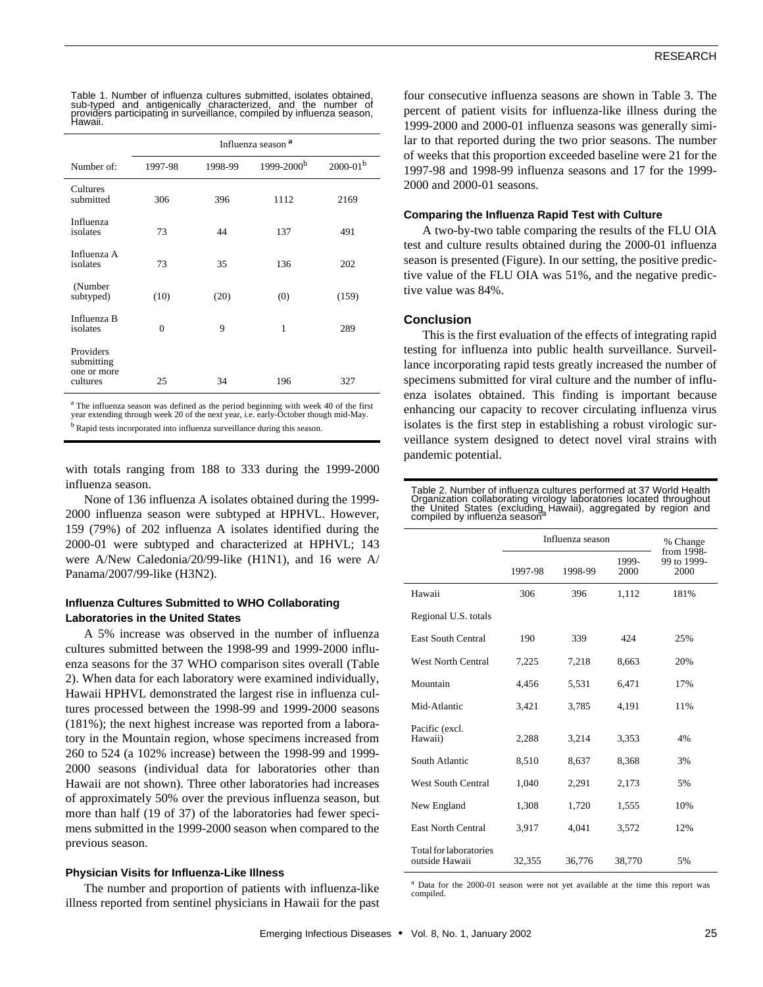| Table 1. Number of influenza cultures submitted, isolates obtained.               |  |
|-----------------------------------------------------------------------------------|--|
| sub-typed and antigenically characterized, and the number of                      |  |
| providers participating in surveillance, compiled by influenza season,<br>Hawaii. |  |

|                                                    | Influenza season <sup>a</sup> |         |                        |                 |  |
|----------------------------------------------------|-------------------------------|---------|------------------------|-----------------|--|
| Number of:                                         | 1997-98                       | 1998-99 | 1999-2000 <sup>b</sup> | $2000 - 01^{b}$ |  |
| Cultures<br>submitted                              | 306                           | 396     | 1112                   | 2169            |  |
| Influenza<br>isolates                              | 73                            | 44      | 137                    | 491             |  |
| Influenza A<br>isolates                            | 73                            | 35      | 136                    | 202             |  |
| (Number<br>subtyped)                               | (10)                          | (20)    | (0)                    | (159)           |  |
| Influenza B<br>isolates                            | $\Omega$                      | 9       | 1                      | 289             |  |
| Providers<br>submitting<br>one or more<br>cultures | 25                            | 34      | 196                    | 327             |  |

<sup>a</sup> The influenza season was defined as the period beginning with week 40 of the first year extending through week 20 of the next year, i.e. early-October though mid-May. <sup>b</sup> Rapid tests incorporated into influenza surveillance during this season.

with totals ranging from 188 to 333 during the 1999-2000 influenza season.

None of 136 influenza A isolates obtained during the 1999- 2000 influenza season were subtyped at HPHVL. However, 159 (79%) of 202 influenza A isolates identified during the 2000-01 were subtyped and characterized at HPHVL; 143 were A/New Caledonia/20/99-like (H1N1), and 16 were A/ Panama/2007/99-like (H3N2).

# **Influenza Cultures Submitted to WHO Collaborating Laboratories in the United States**

A 5% increase was observed in the number of influenza cultures submitted between the 1998-99 and 1999-2000 influenza seasons for the 37 WHO comparison sites overall (Table 2). When data for each laboratory were examined individually, Hawaii HPHVL demonstrated the largest rise in influenza cultures processed between the 1998-99 and 1999-2000 seasons (181%); the next highest increase was reported from a laboratory in the Mountain region, whose specimens increased from 260 to 524 (a 102% increase) between the 1998-99 and 1999- 2000 seasons (individual data for laboratories other than Hawaii are not shown). Three other laboratories had increases of approximately 50% over the previous influenza season, but more than half (19 of 37) of the laboratories had fewer specimens submitted in the 1999-2000 season when compared to the previous season.

## **Physician Visits for Influenza-Like Illness**

The number and proportion of patients with influenza-like illness reported from sentinel physicians in Hawaii for the past four consecutive influenza seasons are shown in Table 3. The percent of patient visits for influenza-like illness during the 1999-2000 and 2000-01 influenza seasons was generally similar to that reported during the two prior seasons. The number of weeks that this proportion exceeded baseline were 21 for the 1997-98 and 1998-99 influenza seasons and 17 for the 1999- 2000 and 2000-01 seasons.

## **Comparing the Influenza Rapid Test with Culture**

A two-by-two table comparing the results of the FLU OIA test and culture results obtained during the 2000-01 influenza season is presented (Figure). In our setting, the positive predictive value of the FLU OIA was 51%, and the negative predictive value was 84%.

## **Conclusion**

This is the first evaluation of the effects of integrating rapid testing for influenza into public health surveillance. Surveillance incorporating rapid tests greatly increased the number of specimens submitted for viral culture and the number of influenza isolates obtained. This finding is important because enhancing our capacity to recover circulating influenza virus isolates is the first step in establishing a robust virologic surveillance system designed to detect novel viral strains with pandemic potential.

Table 2. Number of influenza cultures performed at 37 World Health Organization collaborating virology laboratories located throughout<br>the United States (excluding Hawaii), aggregated by region and<br>compiled by influenza season<sup>a</sup>

|                                          | Influenza season | % Change<br>from 1998- |               |                     |
|------------------------------------------|------------------|------------------------|---------------|---------------------|
|                                          | 1997-98          | 1998-99                | 1999-<br>2000 | 99 to 1999-<br>2000 |
| Hawaii                                   | 306              | 396                    | 1,112         | 181%                |
| Regional U.S. totals                     |                  |                        |               |                     |
| <b>East South Central</b>                | 190              | 339                    | 424           | 25%                 |
| <b>West North Central</b>                | 7,225            | 7,218                  | 8,663         | 20%                 |
| Mountain                                 | 4,456            | 5,531                  | 6,471         | 17%                 |
| Mid-Atlantic                             | 3,421            | 3,785                  | 4,191         | 11%                 |
| Pacific (excl.<br>Hawaii)                | 2,288            | 3,214                  | 3,353         | 4%                  |
| South Atlantic                           | 8,510            | 8,637                  | 8,368         | 3%                  |
| <b>West South Central</b>                | 1,040            | 2,291                  | 2,173         | 5%                  |
| New England                              | 1,308            | 1,720                  | 1,555         | 10%                 |
| <b>East North Central</b>                | 3,917            | 4,041                  | 3,572         | 12%                 |
| Total for laboratories<br>outside Hawaii | 32,355           | 36,776                 | 38,770        | 5%                  |

<sup>a</sup> Data for the 2000-01 season were not yet available at the time this report was compiled.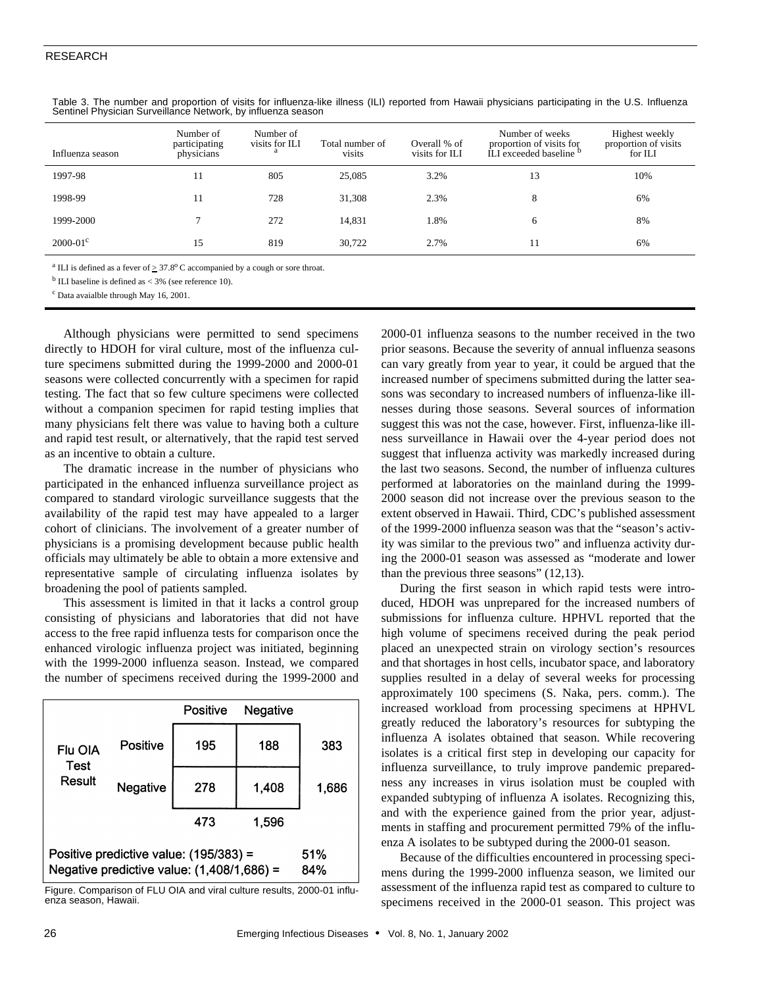## RESEARCH

| Influenza season    | Number of<br>participating<br>physicians | Number of<br>visits for ILI<br>a | Total number of<br>visits | Overall % of<br>visits for ILI | Number of weeks<br>proportion of visits for<br>ILI exceeded baseline <sup>b</sup> | Highest weekly<br>proportion of visits<br>for ILI |
|---------------------|------------------------------------------|----------------------------------|---------------------------|--------------------------------|-----------------------------------------------------------------------------------|---------------------------------------------------|
| 1997-98             | 11                                       | 805                              | 25,085                    | 3.2%                           | 13                                                                                | 10%                                               |
| 1998-99             |                                          | 728                              | 31,308                    | 2.3%                           | 8                                                                                 | 6%                                                |
| 1999-2000           |                                          | 272                              | 14,831                    | 1.8%                           | 6                                                                                 | 8%                                                |
| $2000 - 01^{\circ}$ | 15                                       | 819                              | 30,722                    | 2.7%                           | 11                                                                                | 6%                                                |

Table 3. The number and proportion of visits for influenza-like illness (ILI) reported from Hawaii physicians participating in the U.S. Influenza Sentinel Physician Surveillance Network, by influenza season

<sup>a</sup> ILI is defined as a fever of  $\geq 37.8^{\circ}$  C accompanied by a cough or sore throat.

 $b$  ILI baseline is defined as  $<$  3% (see reference 10).

c Data avaialble through May 16, 2001.

Although physicians were permitted to send specimens directly to HDOH for viral culture, most of the influenza culture specimens submitted during the 1999-2000 and 2000-01 seasons were collected concurrently with a specimen for rapid testing. The fact that so few culture specimens were collected without a companion specimen for rapid testing implies that many physicians felt there was value to having both a culture and rapid test result, or alternatively, that the rapid test served as an incentive to obtain a culture.

The dramatic increase in the number of physicians who participated in the enhanced influenza surveillance project as compared to standard virologic surveillance suggests that the availability of the rapid test may have appealed to a larger cohort of clinicians. The involvement of a greater number of physicians is a promising development because public health officials may ultimately be able to obtain a more extensive and representative sample of circulating influenza isolates by broadening the pool of patients sampled.

This assessment is limited in that it lacks a control group consisting of physicians and laboratories that did not have access to the free rapid influenza tests for comparison once the enhanced virologic influenza project was initiated, beginning with the 1999-2000 influenza season. Instead, we compared the number of specimens received during the 1999-2000 and

|                                                                                        |            | Positive | Negative |       |
|----------------------------------------------------------------------------------------|------------|----------|----------|-------|
| Flu OIA<br>Test<br>Result                                                              | Positive   | 195      | 188      | 383   |
|                                                                                        | Negative   | 278      | 1,408    | 1,686 |
|                                                                                        |            | 473      | 1.596    |       |
| Positive predictive value: (195/383) =<br>Negative predictive value: $(1,408/1,686)$ = | 51%<br>84% |          |          |       |

Figure. Comparison of FLU OIA and viral culture results, 2000-01 influenza season, Hawaii.

2000-01 influenza seasons to the number received in the two prior seasons. Because the severity of annual influenza seasons can vary greatly from year to year, it could be argued that the increased number of specimens submitted during the latter seasons was secondary to increased numbers of influenza-like illnesses during those seasons. Several sources of information suggest this was not the case, however. First, influenza-like illness surveillance in Hawaii over the 4-year period does not suggest that influenza activity was markedly increased during the last two seasons. Second, the number of influenza cultures performed at laboratories on the mainland during the 1999- 2000 season did not increase over the previous season to the extent observed in Hawaii. Third, CDC's published assessment of the 1999-2000 influenza season was that the "season's activity was similar to the previous two" and influenza activity during the 2000-01 season was assessed as "moderate and lower than the previous three seasons" (12,13).

During the first season in which rapid tests were introduced, HDOH was unprepared for the increased numbers of submissions for influenza culture. HPHVL reported that the high volume of specimens received during the peak period placed an unexpected strain on virology section's resources and that shortages in host cells, incubator space, and laboratory supplies resulted in a delay of several weeks for processing approximately 100 specimens (S. Naka, pers. comm.). The increased workload from processing specimens at HPHVL greatly reduced the laboratory's resources for subtyping the influenza A isolates obtained that season. While recovering isolates is a critical first step in developing our capacity for influenza surveillance, to truly improve pandemic preparedness any increases in virus isolation must be coupled with expanded subtyping of influenza A isolates. Recognizing this, and with the experience gained from the prior year, adjustments in staffing and procurement permitted 79% of the influenza A isolates to be subtyped during the 2000-01 season.

Because of the difficulties encountered in processing specimens during the 1999-2000 influenza season, we limited our assessment of the influenza rapid test as compared to culture to specimens received in the 2000-01 season. This project was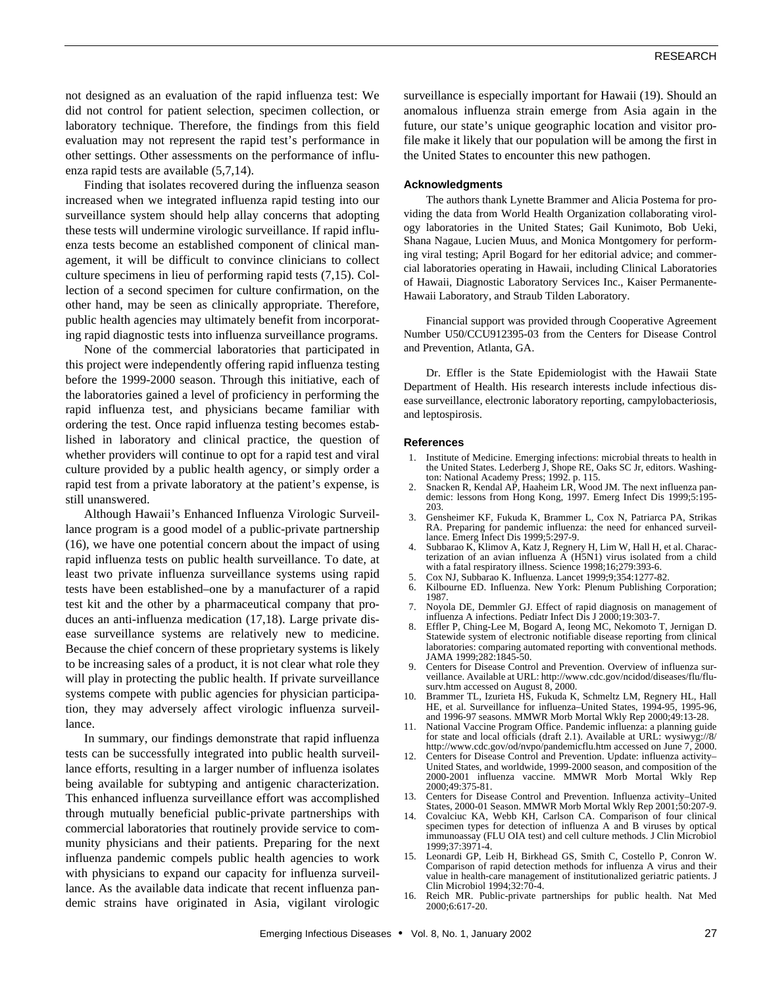not designed as an evaluation of the rapid influenza test: We did not control for patient selection, specimen collection, or laboratory technique. Therefore, the findings from this field evaluation may not represent the rapid test's performance in other settings. Other assessments on the performance of influenza rapid tests are available (5,7,14).

Finding that isolates recovered during the influenza season increased when we integrated influenza rapid testing into our surveillance system should help allay concerns that adopting these tests will undermine virologic surveillance. If rapid influenza tests become an established component of clinical management, it will be difficult to convince clinicians to collect culture specimens in lieu of performing rapid tests (7,15). Collection of a second specimen for culture confirmation, on the other hand, may be seen as clinically appropriate. Therefore, public health agencies may ultimately benefit from incorporating rapid diagnostic tests into influenza surveillance programs.

None of the commercial laboratories that participated in this project were independently offering rapid influenza testing before the 1999-2000 season. Through this initiative, each of the laboratories gained a level of proficiency in performing the rapid influenza test, and physicians became familiar with ordering the test. Once rapid influenza testing becomes established in laboratory and clinical practice, the question of whether providers will continue to opt for a rapid test and viral culture provided by a public health agency, or simply order a rapid test from a private laboratory at the patient's expense, is still unanswered.

Although Hawaii's Enhanced Influenza Virologic Surveillance program is a good model of a public-private partnership (16), we have one potential concern about the impact of using rapid influenza tests on public health surveillance. To date, at least two private influenza surveillance systems using rapid tests have been established–one by a manufacturer of a rapid test kit and the other by a pharmaceutical company that produces an anti-influenza medication (17,18). Large private disease surveillance systems are relatively new to medicine. Because the chief concern of these proprietary systems is likely to be increasing sales of a product, it is not clear what role they will play in protecting the public health. If private surveillance systems compete with public agencies for physician participation, they may adversely affect virologic influenza surveillance.

In summary, our findings demonstrate that rapid influenza tests can be successfully integrated into public health surveillance efforts, resulting in a larger number of influenza isolates being available for subtyping and antigenic characterization. This enhanced influenza surveillance effort was accomplished through mutually beneficial public-private partnerships with commercial laboratories that routinely provide service to community physicians and their patients. Preparing for the next influenza pandemic compels public health agencies to work with physicians to expand our capacity for influenza surveillance. As the available data indicate that recent influenza pandemic strains have originated in Asia, vigilant virologic surveillance is especially important for Hawaii (19). Should an anomalous influenza strain emerge from Asia again in the future, our state's unique geographic location and visitor profile make it likely that our population will be among the first in the United States to encounter this new pathogen.

### **Acknowledgments**

The authors thank Lynette Brammer and Alicia Postema for providing the data from World Health Organization collaborating virology laboratories in the United States; Gail Kunimoto, Bob Ueki, Shana Nagaue, Lucien Muus, and Monica Montgomery for performing viral testing; April Bogard for her editorial advice; and commercial laboratories operating in Hawaii, including Clinical Laboratories of Hawaii, Diagnostic Laboratory Services Inc., Kaiser Permanente-Hawaii Laboratory, and Straub Tilden Laboratory.

Financial support was provided through Cooperative Agreement Number U50/CCU912395-03 from the Centers for Disease Control and Prevention, Atlanta, GA.

Dr. Effler is the State Epidemiologist with the Hawaii State Department of Health. His research interests include infectious disease surveillance, electronic laboratory reporting, campylobacteriosis, and leptospirosis.

#### **References**

- 1. Institute of Medicine. Emerging infections: microbial threats to health in the United States. Lederberg J, Shope RE, Oaks SC Jr, editors. Washington: National Academy Press; 1992. p. 115.
- 2. Snacken R, Kendal AP, Haaheim LR, Wood JM. The next influenza pandemic: lessons from Hong Kong, 1997. Emerg Infect Dis 1999;5:195- 203.
- 3. Gensheimer KF, Fukuda K, Brammer L, Cox N, Patriarca PA, Strikas RA. Preparing for pandemic influenza: the need for enhanced surveillance. Emerg Infect Dis 1999;5:297-9.
- 4. Subbarao K, Klimov A, Katz J, Regnery H, Lim W, Hall H, et al. Characterization of an avian influenza A (H5N1) virus isolated from a child with a fatal respiratory illness. Science 1998;16;279:393-6.
- 5. Cox NJ, Subbarao K. Influenza. Lancet 1999;9;354:1277-82.
- Kilbourne ED. Influenza. New York: Plenum Publishing Corporation; 1987. 7. Noyola DE, Demmler GJ. Effect of rapid diagnosis on management of
- influenza A infections. Pediatr Infect Dis J 2000;19:303-7.
- 8. Effler P, Ching-Lee M, Bogard A, Ieong MC, Nekomoto T, Jernigan D. Statewide system of electronic notifiable disease reporting from clinical laboratories: comparing automated reporting with conventional methods. JAMA 1999;282:1845-50.
- Centers for Disease Control and Prevention. Overview of influenza surveillance. Available at URL: http://www.cdc.gov/ncidod/diseases/flu/flusurv.htm accessed on August 8, 2000.
- 10. Brammer TL, Izurieta HS, Fukuda K, Schmeltz LM, Regnery HL, Hall HE, et al. Surveillance for influenza–United States, 1994-95, 1995-96, and 1996-97 seasons. MMWR Morb Mortal Wkly Rep 2000;49:13-28.
- 11. National Vaccine Program Office. Pandemic influenza: a planning guide for state and local officials (draft 2.1). Available at URL: wysiwyg://8/ http://www.cdc.gov/od/nvpo/pandemicflu.htm accessed on June 7, 2000.
- 12. Centers for Disease Control and Prevention. Update: influenza activity– United States, and worldwide, 1999-2000 season, and composition of the 2000-2001 influenza vaccine. MMWR Morb Mortal Wkly Rep 2000;49:375-81.
- 13. Centers for Disease Control and Prevention. Influenza activity–United States, 2000-01 Season. MMWR Morb Mortal Wkly Rep 2001;50:207-9.
- 14. Covalciuc KA, Webb KH, Carlson CA. Comparison of four clinical specimen types for detection of influenza A and B viruses by optical immunoassay (FLU OIA test) and cell culture methods. J Clin Microbiol 1999;37:3971-4.
- 15. Leonardi GP, Leib H, Birkhead GS, Smith C, Costello P, Conron W. Comparison of rapid detection methods for influenza A virus and their value in health-care management of institutionalized geriatric patients. J Clin Microbiol 1994;32:70-4.
- 16. Reich MR. Public-private partnerships for public health. Nat Med 2000;6:617-20.